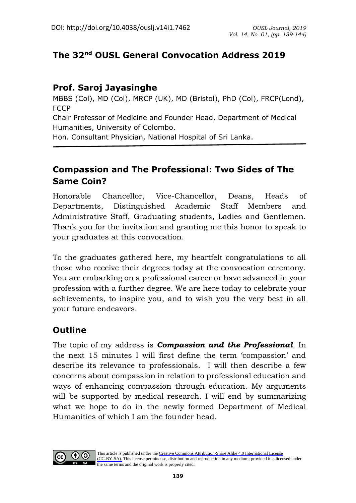## **The 32nd OUSL General Convocation Address 2019**

## **Prof. Saroj Jayasinghe**

MBBS (Col), MD (Col), MRCP (UK), MD (Bristol), PhD (Col), FRCP(Lond), **FCCP** 

Chair Professor of Medicine and Founder Head, Department of Medical Humanities, University of Colombo.

Hon. Consultant Physician, National Hospital of Sri Lanka.

# **Compassion and The Professional: Two Sides of The Same Coin?**

Honorable Chancellor, Vice-Chancellor, Deans, Heads of Departments, Distinguished Academic Staff Members and Administrative Staff, Graduating students, Ladies and Gentlemen. Thank you for the invitation and granting me this honor to speak to your graduates at this convocation.

To the graduates gathered here, my heartfelt congratulations to all those who receive their degrees today at the convocation ceremony. You are embarking on a professional career or have advanced in your profession with a further degree. We are here today to celebrate your achievements, to inspire you, and to wish you the very best in all your future endeavors.

## **Outline**

The topic of my address is *Compassion and the Professional*. In the next 15 minutes I will first define the term 'compassion' and describe its relevance to professionals. I will then describe a few concerns about compassion in relation to professional education and ways of enhancing compassion through education. My arguments will be supported by medical research. I will end by summarizing what we hope to do in the newly formed Department of Medical Humanities of which I am the founder head.

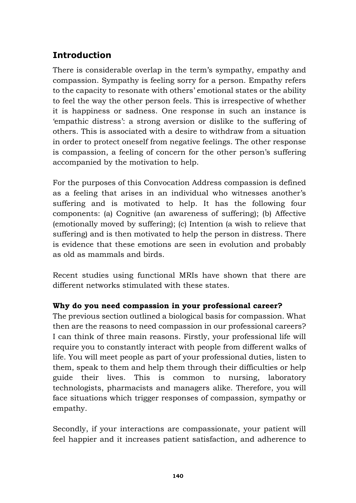# **Introduction**

There is considerable overlap in the term's sympathy, empathy and compassion. Sympathy is feeling sorry for a person. Empathy refers to the capacity to resonate with others' emotional states or the ability to feel the way the other person feels. This is irrespective of whether it is happiness or sadness. One response in such an instance is 'empathic distress': a strong aversion or dislike to the suffering of others. This is associated with a desire to withdraw from a situation in order to protect oneself from negative feelings. The other response is compassion, a feeling of concern for the other person's suffering accompanied by the motivation to help.

For the purposes of this Convocation Address compassion is defined as a feeling that arises in an individual who witnesses another's suffering and is motivated to help. It has the following four components: (a) Cognitive (an awareness of suffering); (b) Affective (emotionally moved by suffering); (c) Intention (a wish to relieve that suffering) and is then motivated to help the person in distress. There is evidence that these emotions are seen in evolution and probably as old as mammals and birds.

Recent studies using functional MRIs have shown that there are different networks stimulated with these states.

### **Why do you need compassion in your professional career?**

The previous section outlined a biological basis for compassion. What then are the reasons to need compassion in our professional careers? I can think of three main reasons. Firstly, your professional life will require you to constantly interact with people from different walks of life. You will meet people as part of your professional duties, listen to them, speak to them and help them through their difficulties or help guide their lives. This is common to nursing, laboratory technologists, pharmacists and managers alike. Therefore, you will face situations which trigger responses of compassion, sympathy or empathy.

Secondly, if your interactions are compassionate, your patient will feel happier and it increases patient satisfaction, and adherence to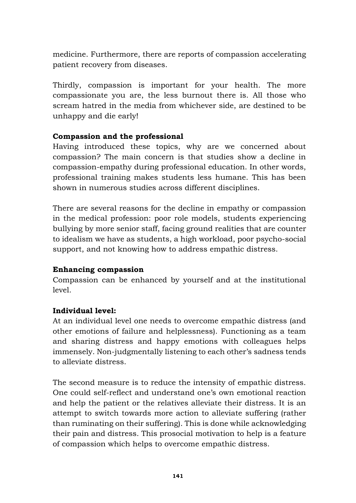medicine. Furthermore, there are reports of compassion accelerating patient recovery from diseases.

Thirdly, compassion is important for your health. The more compassionate you are, the less burnout there is. All those who scream hatred in the media from whichever side, are destined to be unhappy and die early!

### **Compassion and the professional**

Having introduced these topics, why are we concerned about compassion? The main concern is that studies show a decline in compassion-empathy during professional education. In other words, professional training makes students less humane. This has been shown in numerous studies across different disciplines.

There are several reasons for the decline in empathy or compassion in the medical profession: poor role models, students experiencing bullying by more senior staff, facing ground realities that are counter to idealism we have as students, a high workload, poor psycho-social support, and not knowing how to address empathic distress.

#### **Enhancing compassion**

Compassion can be enhanced by yourself and at the institutional level.

### **Individual level:**

At an individual level one needs to overcome empathic distress (and other emotions of failure and helplessness). Functioning as a team and sharing distress and happy emotions with colleagues helps immensely. Non-judgmentally listening to each other's sadness tends to alleviate distress.

The second measure is to reduce the intensity of empathic distress. One could self-reflect and understand one's own emotional reaction and help the patient or the relatives alleviate their distress. It is an attempt to switch towards more action to alleviate suffering (rather than ruminating on their suffering). This is done while acknowledging their pain and distress. This prosocial motivation to help is a feature of compassion which helps to overcome empathic distress.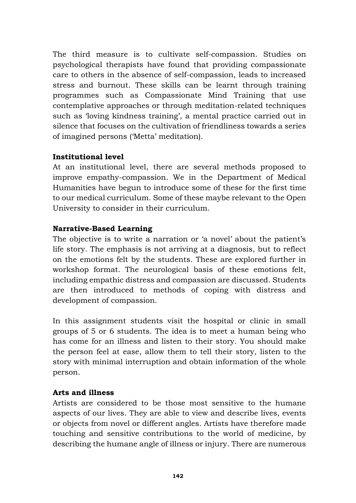The third measure is to cultivate self-compassion. Studies on psychological therapists have found that providing compassionate care to others in the absence of self-compassion, leads to increased stress and burnout. These skills can be learnt through training programmes such as Compassionate Mind Training that use contemplative approaches or through meditation-related techniques such as 'loving kindness training', a mental practice carried out in silence that focuses on the cultivation of friendliness towards a series of imagined persons ('Metta' meditation).

#### **Institutional level**

At an institutional level, there are several methods proposed to improve empathy-compassion. We in the Department of Medical Humanities have begun to introduce some of these for the first time to our medical curriculum. Some of these maybe relevant to the Open University to consider in their curriculum.

#### **Narrative-Based Learning**

The objective is to write a narration or 'a novel' about the patient's life story. The emphasis is not arriving at a diagnosis, but to reflect on the emotions felt by the students. These are explored further in workshop format. The neurological basis of these emotions felt, including empathic distress and compassion are discussed. Students are then introduced to methods of coping with distress and development of compassion.

In this assignment students visit the hospital or clinic in small groups of 5 or 6 students. The idea is to meet a human being who has come for an illness and listen to their story. You should make the person feel at ease, allow them to tell their story, listen to the story with minimal interruption and obtain information of the whole person.

#### **Arts and illness**

Artists are considered to be those most sensitive to the humane aspects of our lives. They are able to view and describe lives, events or objects from novel or different angles. Artists have therefore made touching and sensitive contributions to the world of medicine, by describing the humane angle of illness or injury. There are numerous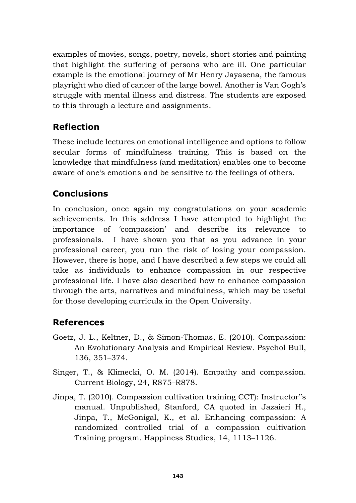examples of movies, songs, poetry, novels, short stories and painting that highlight the suffering of persons who are ill. One particular example is the emotional journey of Mr Henry Jayasena, the famous playright who died of cancer of the large bowel. Another is Van Gogh's struggle with mental illness and distress. The students are exposed to this through a lecture and assignments.

## **Reflection**

These include lectures on emotional intelligence and options to follow secular forms of mindfulness training. This is based on the knowledge that mindfulness (and meditation) enables one to become aware of one's emotions and be sensitive to the feelings of others.

# **Conclusions**

In conclusion, once again my congratulations on your academic achievements. In this address I have attempted to highlight the importance of 'compassion' and describe its relevance to professionals. I have shown you that as you advance in your professional career, you run the risk of losing your compassion. However, there is hope, and I have described a few steps we could all take as individuals to enhance compassion in our respective professional life. I have also described how to enhance compassion through the arts, narratives and mindfulness, which may be useful for those developing curricula in the Open University.

## **References**

- Goetz, J. L., Keltner, D., & Simon-Thomas, E. (2010). Compassion: An Evolutionary Analysis and Empirical Review. Psychol Bull, 136, 351–374.
- Singer, T., & Klimecki, O. M. (2014). Empathy and compassion. Current Biology, 24, R875–R878.
- Jinpa, T. (2010). Compassion cultivation training CCT): Instructor"s manual. Unpublished, Stanford, CA quoted in Jazaieri H., Jinpa, T., McGonigal, K., et al. Enhancing compassion: A randomized controlled trial of a compassion cultivation Training program. Happiness Studies, 14, 1113–1126.